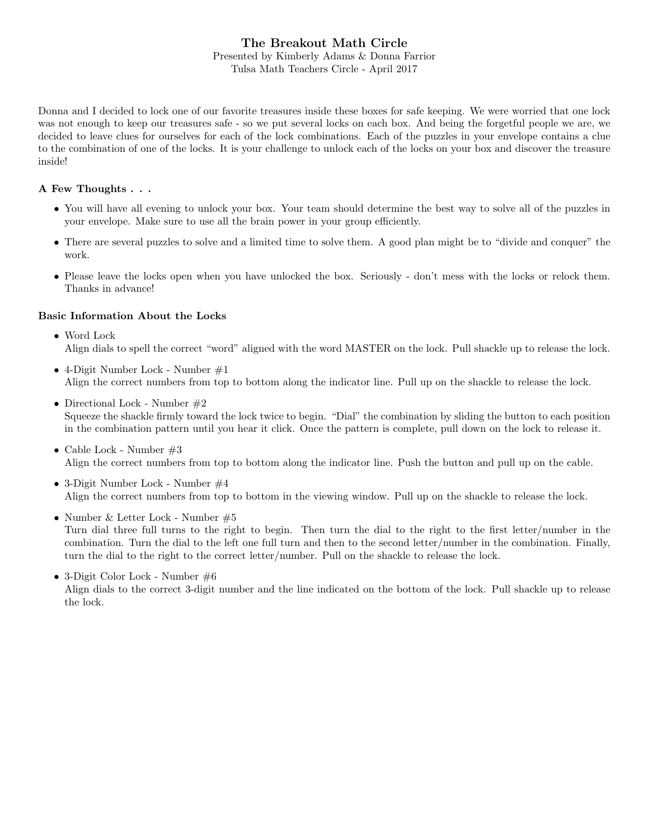## The Breakout Math Circle Presented by Kimberly Adams & Donna Farrior Tulsa Math Teachers Circle - April 2017

Donna and I decided to lock one of our favorite treasures inside these boxes for safe keeping. We were worried that one lock was not enough to keep our treasures safe - so we put several locks on each box. And being the forgetful people we are, we decided to leave clues for ourselves for each of the lock combinations. Each of the puzzles in your envelope contains a clue to the combination of one of the locks. It is your challenge to unlock each of the locks on your box and discover the treasure inside!

#### A Few Thoughts . . .

- You will have all evening to unlock your box. Your team should determine the best way to solve all of the puzzles in your envelope. Make sure to use all the brain power in your group efficiently.
- There are several puzzles to solve and a limited time to solve them. A good plan might be to "divide and conquer" the work.
- Please leave the locks open when you have unlocked the box. Seriously don't mess with the locks or relock them. Thanks in advance!

### Basic Information About the Locks

- Word Lock Align dials to spell the correct "word" aligned with the word MASTER on the lock. Pull shackle up to release the lock.
- 4-Digit Number Lock Number #1 Align the correct numbers from top to bottom along the indicator line. Pull up on the shackle to release the lock.
- Directional Lock Number #2 Squeeze the shackle firmly toward the lock twice to begin. "Dial" the combination by sliding the button to each position in the combination pattern until you hear it click. Once the pattern is complete, pull down on the lock to release it.
- Cable Lock Number  $#3$ Align the correct numbers from top to bottom along the indicator line. Push the button and pull up on the cable.
- 3-Digit Number Lock Number #4 Align the correct numbers from top to bottom in the viewing window. Pull up on the shackle to release the lock.
- Number & Letter Lock Number #5 Turn dial three full turns to the right to begin. Then turn the dial to the right to the first letter/number in the combination. Turn the dial to the left one full turn and then to the second letter/number in the combination. Finally, turn the dial to the right to the correct letter/number. Pull on the shackle to release the lock.
- 3-Digit Color Lock Number #6 Align dials to the correct 3-digit number and the line indicated on the bottom of the lock. Pull shackle up to release the lock.